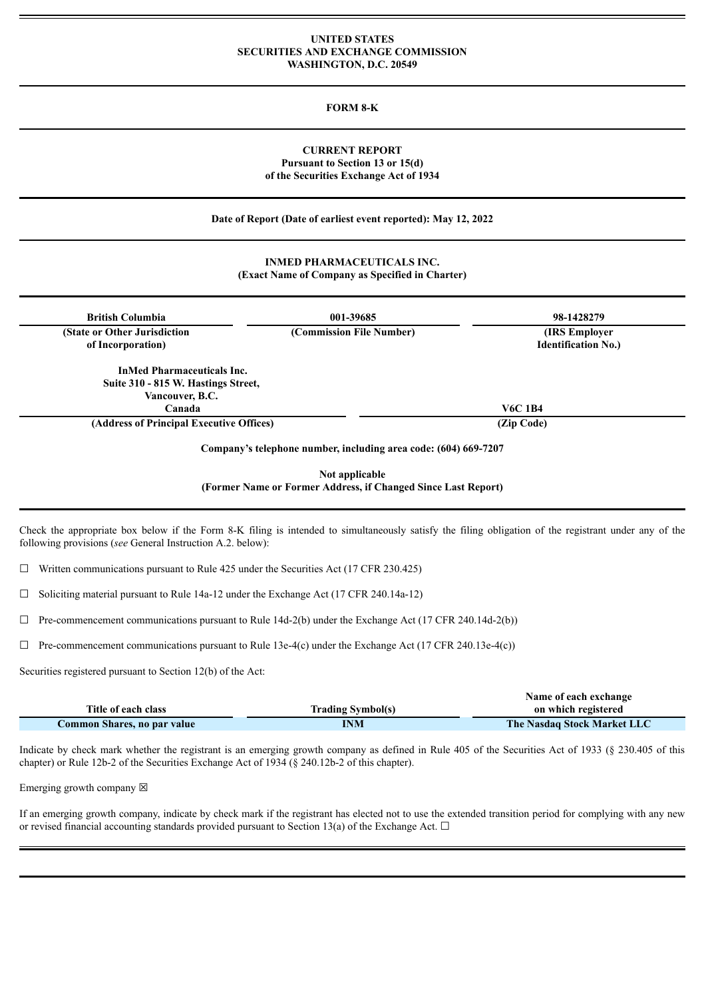### **UNITED STATES SECURITIES AND EXCHANGE COMMISSION WASHINGTON, D.C. 20549**

#### **FORM 8-K**

### **CURRENT REPORT Pursuant to Section 13 or 15(d) of the Securities Exchange Act of 1934**

**Date of Report (Date of earliest event reported): May 12, 2022**

## **INMED PHARMACEUTICALS INC. (Exact Name of Company as Specified in Charter)**

| <b>British Columbia</b>                  | 001-39685                                                       | 98-1428279                 |
|------------------------------------------|-----------------------------------------------------------------|----------------------------|
| (State or Other Jurisdiction)            | (Commission File Number)                                        | <b>(IRS Employer)</b>      |
| of Incorporation)                        |                                                                 | <b>Identification No.)</b> |
| <b>InMed Pharmaceuticals Inc.</b>        |                                                                 |                            |
| Suite 310 - 815 W. Hastings Street,      |                                                                 |                            |
| Vancouver, B.C.                          |                                                                 |                            |
| Canada                                   |                                                                 | <b>V6C 1B4</b>             |
| (Address of Principal Executive Offices) |                                                                 | (Zip Code)                 |
|                                          | Company's telephone number, including area code: (604) 669-7207 |                            |
|                                          | Not applicable                                                  |                            |
|                                          | (Former Name or Former Address, if Changed Since Last Report)   |                            |

Check the appropriate box below if the Form 8-K filing is intended to simultaneously satisfy the filing obligation of the registrant under any of the following provisions (*see* General Instruction A.2. below):

 $\Box$  Written communications pursuant to Rule 425 under the Securities Act (17 CFR 230.425)

☐ Soliciting material pursuant to Rule 14a-12 under the Exchange Act (17 CFR 240.14a-12)

 $\Box$  Pre-commencement communications pursuant to Rule 14d-2(b) under the Exchange Act (17 CFR 240.14d-2(b))

 $\Box$  Pre-commencement communications pursuant to Rule 13e-4(c) under the Exchange Act (17 CFR 240.13e-4(c))

Securities registered pursuant to Section 12(b) of the Act:

|                             |                          | Name of each exchange              |
|-----------------------------|--------------------------|------------------------------------|
| Title of each class         | <b>Trading Symbol(s)</b> | on which registered                |
| Common Shares, no par value | INM                      | <b>The Nasdaq Stock Market LLC</b> |

Indicate by check mark whether the registrant is an emerging growth company as defined in Rule 405 of the Securities Act of 1933 (§ 230.405 of this chapter) or Rule 12b-2 of the Securities Exchange Act of 1934 (§ 240.12b-2 of this chapter).

Emerging growth company  $\boxtimes$ 

If an emerging growth company, indicate by check mark if the registrant has elected not to use the extended transition period for complying with any new or revised financial accounting standards provided pursuant to Section 13(a) of the Exchange Act.  $\Box$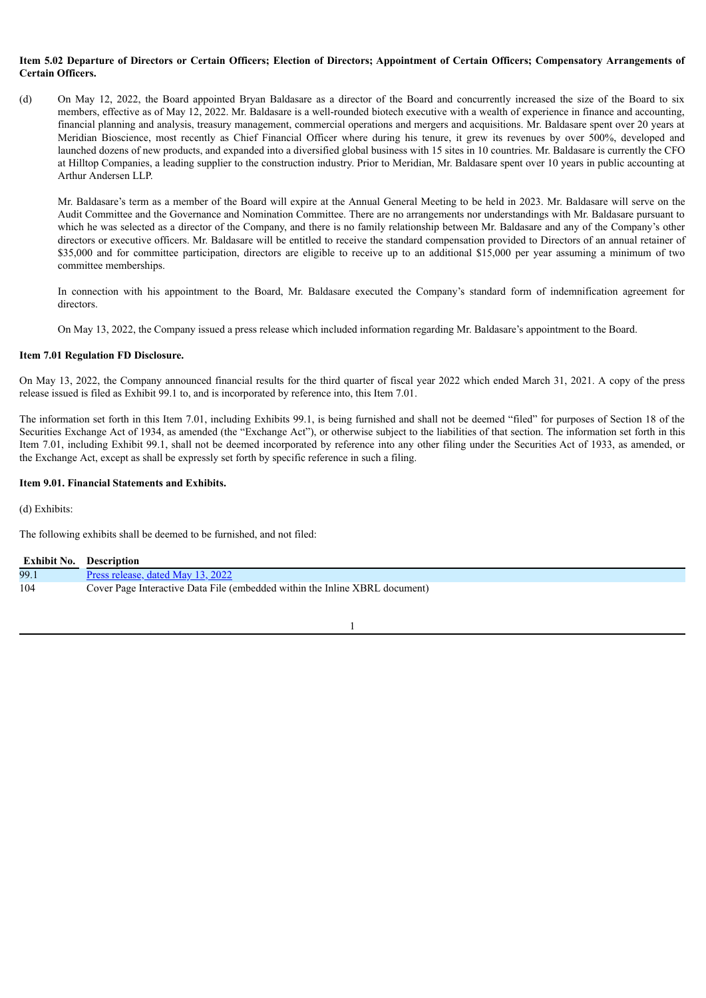### Item 5.02 Departure of Directors or Certain Officers: Election of Directors: Appointment of Certain Officers: Compensatory Arrangements of **Certain Officers.**

(d) On May 12, 2022, the Board appointed Bryan Baldasare as a director of the Board and concurrently increased the size of the Board to six members, effective as of May 12, 2022. Mr. Baldasare is a well-rounded biotech executive with a wealth of experience in finance and accounting, financial planning and analysis, treasury management, commercial operations and mergers and acquisitions. Mr. Baldasare spent over 20 years at Meridian Bioscience, most recently as Chief Financial Officer where during his tenure, it grew its revenues by over 500%, developed and launched dozens of new products, and expanded into a diversified global business with 15 sites in 10 countries. Mr. Baldasare is currently the CFO at Hilltop Companies, a leading supplier to the construction industry. Prior to Meridian, Mr. Baldasare spent over 10 years in public accounting at Arthur Andersen LLP.

Mr. Baldasare's term as a member of the Board will expire at the Annual General Meeting to be held in 2023. Mr. Baldasare will serve on the Audit Committee and the Governance and Nomination Committee. There are no arrangements nor understandings with Mr. Baldasare pursuant to which he was selected as a director of the Company, and there is no family relationship between Mr. Baldasare and any of the Company's other directors or executive officers. Mr. Baldasare will be entitled to receive the standard compensation provided to Directors of an annual retainer of \$35,000 and for committee participation, directors are eligible to receive up to an additional \$15,000 per year assuming a minimum of two committee memberships.

In connection with his appointment to the Board, Mr. Baldasare executed the Company's standard form of indemnification agreement for directors.

On May 13, 2022, the Company issued a press release which included information regarding Mr. Baldasare's appointment to the Board.

### **Item 7.01 Regulation FD Disclosure.**

On May 13, 2022, the Company announced financial results for the third quarter of fiscal year 2022 which ended March 31, 2021. A copy of the press release issued is filed as Exhibit 99.1 to, and is incorporated by reference into, this Item 7.01.

The information set forth in this Item 7.01, including Exhibits 99.1, is being furnished and shall not be deemed "filed" for purposes of Section 18 of the Securities Exchange Act of 1934, as amended (the "Exchange Act"), or otherwise subject to the liabilities of that section. The information set forth in this Item 7.01, including Exhibit 99.1, shall not be deemed incorporated by reference into any other filing under the Securities Act of 1933, as amended, or the Exchange Act, except as shall be expressly set forth by specific reference in such a filing.

### **Item 9.01. Financial Statements and Exhibits.**

(d) Exhibits:

The following exhibits shall be deemed to be furnished, and not filed:

| <b>Exhibit No. Description</b> |                                                                             |
|--------------------------------|-----------------------------------------------------------------------------|
| 99.1                           | <u>Press release, dated May 13, 2022</u>                                    |
| 104                            | Cover Page Interactive Data File (embedded within the Inline XBRL document) |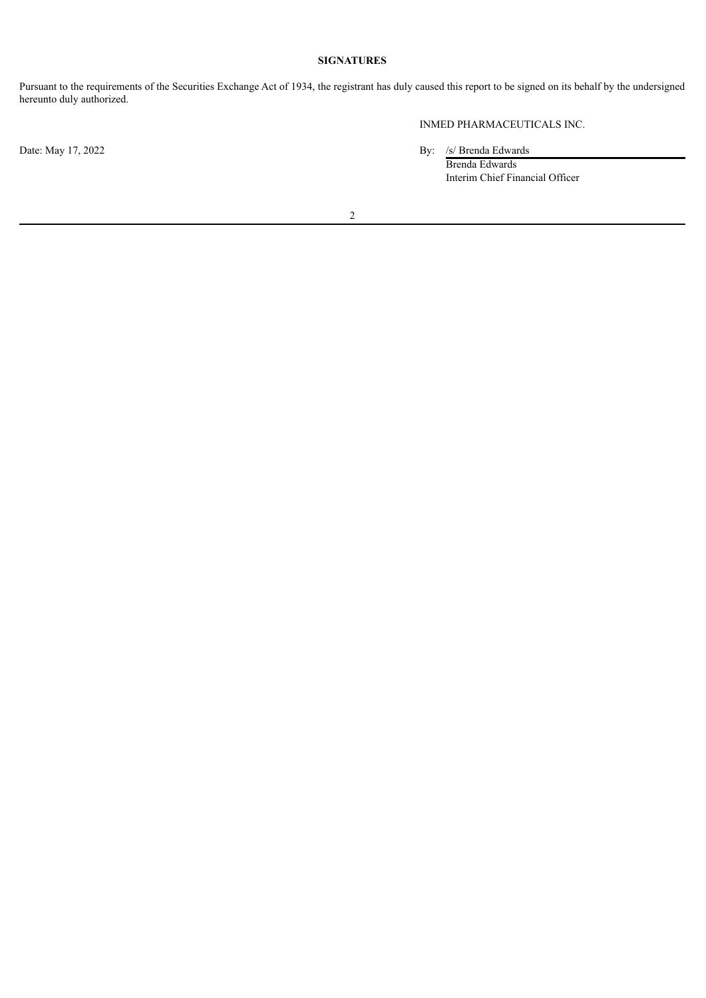## **SIGNATURES**

Pursuant to the requirements of the Securities Exchange Act of 1934, the registrant has duly caused this report to be signed on its behalf by the undersigned hereunto duly authorized.

INMED PHARMACEUTICALS INC.

Date: May 17, 2022 By: /s/ Brenda Edwards

Brenda Edwards Interim Chief Financial Officer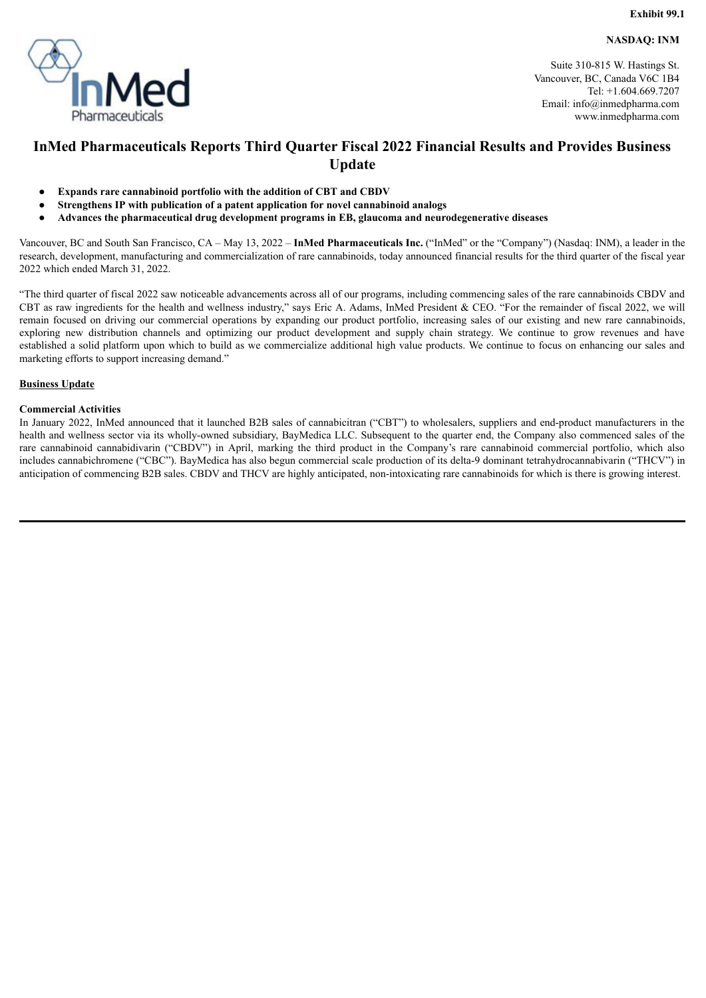**NASDAQ: INM**

<span id="page-3-0"></span>

Suite 310-815 W. Hastings St. Vancouver, BC, Canada V6C 1B4 Tel: +1.604.669.7207 Email: info@inmedpharma.com www.inmedpharma.com

# **InMed Pharmaceuticals Reports Third Quarter Fiscal 2022 Financial Results and Provides Business Update**

- **Expands rare cannabinoid portfolio with the addition of CBT and CBDV**
- **Strengthens IP with publication of a patent application for novel cannabinoid analogs**
- **Advances the pharmaceutical drug development programs in EB, glaucoma and neurodegenerative diseases**

Vancouver, BC and South San Francisco, CA – May 13, 2022 – **InMed Pharmaceuticals Inc.** ("InMed" or the "Company") (Nasdaq: INM), a leader in the research, development, manufacturing and commercialization of rare cannabinoids, today announced financial results for the third quarter of the fiscal year 2022 which ended March 31, 2022.

"The third quarter of fiscal 2022 saw noticeable advancements across all of our programs, including commencing sales of the rare cannabinoids CBDV and CBT as raw ingredients for the health and wellness industry," says Eric A. Adams, InMed President & CEO. "For the remainder of fiscal 2022, we will remain focused on driving our commercial operations by expanding our product portfolio, increasing sales of our existing and new rare cannabinoids, exploring new distribution channels and optimizing our product development and supply chain strategy. We continue to grow revenues and have established a solid platform upon which to build as we commercialize additional high value products. We continue to focus on enhancing our sales and marketing efforts to support increasing demand."

### **Business Update**

### **Commercial Activities**

In January 2022, InMed announced that it launched B2B sales of cannabicitran ("CBT") to wholesalers, suppliers and end-product manufacturers in the health and wellness sector via its wholly-owned subsidiary, BayMedica LLC. Subsequent to the quarter end, the Company also commenced sales of the rare cannabinoid cannabidivarin ("CBDV") in April, marking the third product in the Company's rare cannabinoid commercial portfolio, which also includes cannabichromene ("CBC"). BayMedica has also begun commercial scale production of its delta-9 dominant tetrahydrocannabivarin ("THCV") in anticipation of commencing B2B sales. CBDV and THCV are highly anticipated, non-intoxicating rare cannabinoids for which is there is growing interest.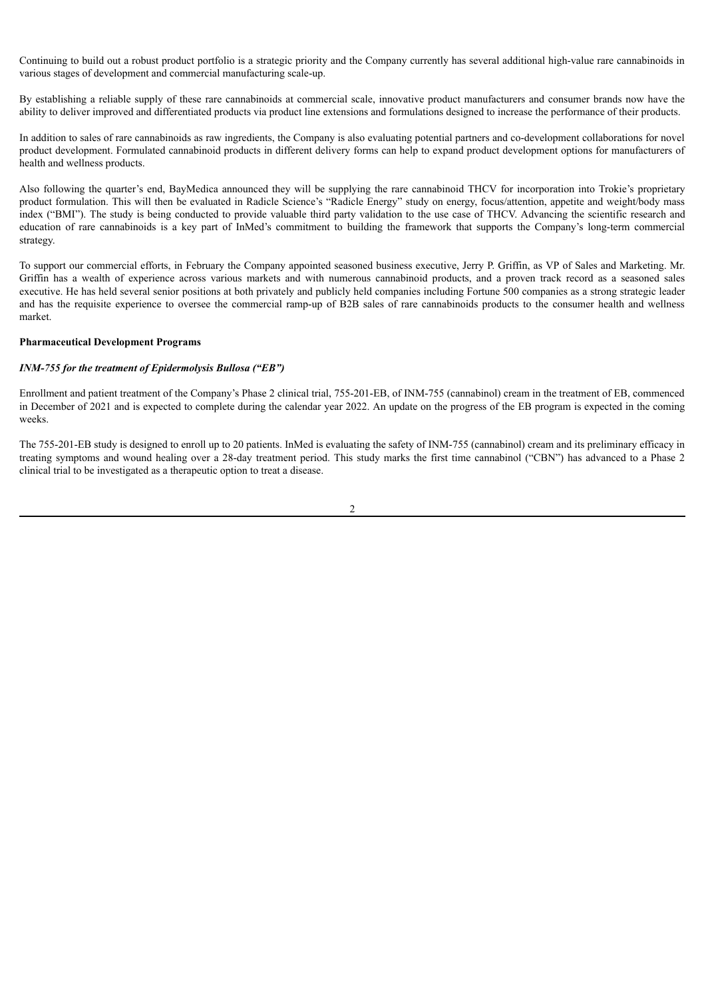Continuing to build out a robust product portfolio is a strategic priority and the Company currently has several additional high-value rare cannabinoids in various stages of development and commercial manufacturing scale-up.

By establishing a reliable supply of these rare cannabinoids at commercial scale, innovative product manufacturers and consumer brands now have the ability to deliver improved and differentiated products via product line extensions and formulations designed to increase the performance of their products.

In addition to sales of rare cannabinoids as raw ingredients, the Company is also evaluating potential partners and co-development collaborations for novel product development. Formulated cannabinoid products in different delivery forms can help to expand product development options for manufacturers of health and wellness products.

Also following the quarter's end, BayMedica announced they will be supplying the rare cannabinoid THCV for incorporation into Trokie's proprietary product formulation. This will then be evaluated in Radicle Science's "Radicle Energy" study on energy, focus/attention, appetite and weight/body mass index ("BMI"). The study is being conducted to provide valuable third party validation to the use case of THCV. Advancing the scientific research and education of rare cannabinoids is a key part of InMed's commitment to building the framework that supports the Company's long-term commercial strategy.

To support our commercial efforts, in February the Company appointed seasoned business executive, Jerry P. Griffin, as VP of Sales and Marketing. Mr. Griffin has a wealth of experience across various markets and with numerous cannabinoid products, and a proven track record as a seasoned sales executive. He has held several senior positions at both privately and publicly held companies including Fortune 500 companies as a strong strategic leader and has the requisite experience to oversee the commercial ramp-up of B2B sales of rare cannabinoids products to the consumer health and wellness market.

### **Pharmaceutical Development Programs**

#### *INM-755 for the treatment of Epidermolysis Bullosa ("EB")*

Enrollment and patient treatment of the Company's Phase 2 clinical trial, 755-201-EB, of INM-755 (cannabinol) cream in the treatment of EB, commenced in December of 2021 and is expected to complete during the calendar year 2022. An update on the progress of the EB program is expected in the coming weeks.

The 755-201-EB study is designed to enroll up to 20 patients. InMed is evaluating the safety of INM-755 (cannabinol) cream and its preliminary efficacy in treating symptoms and wound healing over a 28-day treatment period. This study marks the first time cannabinol ("CBN") has advanced to a Phase 2 clinical trial to be investigated as a therapeutic option to treat a disease.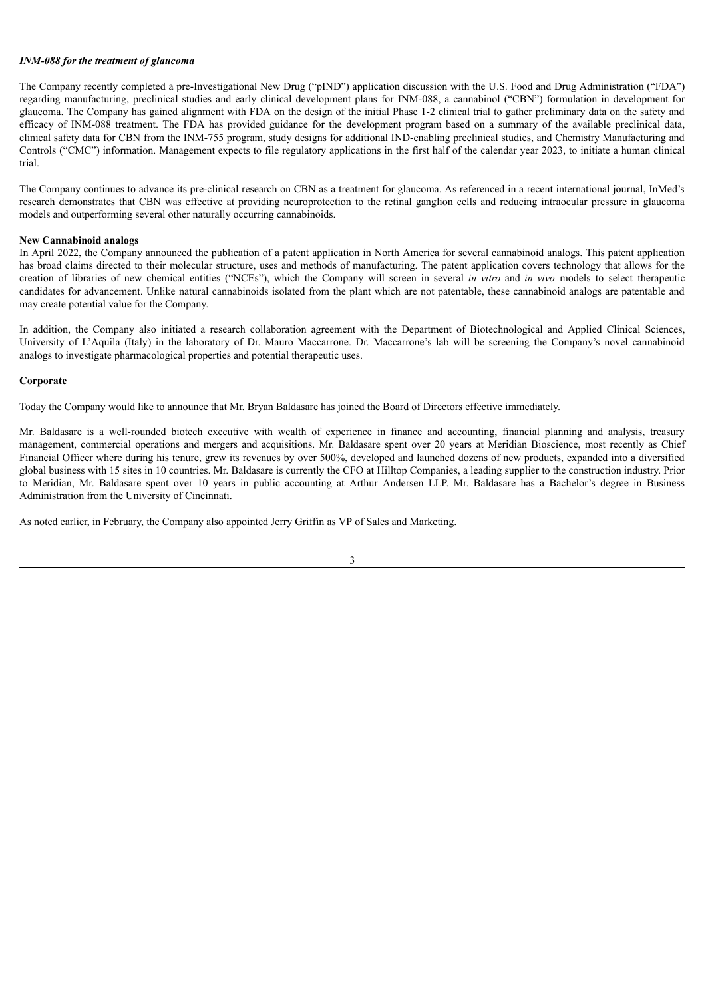### *INM-088 for the treatment of glaucoma*

The Company recently completed a pre-Investigational New Drug ("pIND") application discussion with the U.S. Food and Drug Administration ("FDA") regarding manufacturing, preclinical studies and early clinical development plans for INM-088, a cannabinol ("CBN") formulation in development for glaucoma. The Company has gained alignment with FDA on the design of the initial Phase 1-2 clinical trial to gather preliminary data on the safety and efficacy of INM-088 treatment. The FDA has provided guidance for the development program based on a summary of the available preclinical data, clinical safety data for CBN from the INM-755 program, study designs for additional IND-enabling preclinical studies, and Chemistry Manufacturing and Controls ("CMC") information. Management expects to file regulatory applications in the first half of the calendar year 2023, to initiate a human clinical trial.

The Company continues to advance its pre-clinical research on CBN as a treatment for glaucoma. As referenced in a recent international journal, InMed's research demonstrates that CBN was effective at providing neuroprotection to the retinal ganglion cells and reducing intraocular pressure in glaucoma models and outperforming several other naturally occurring cannabinoids.

#### **New Cannabinoid analogs**

In April 2022, the Company announced the publication of a patent application in North America for several cannabinoid analogs. This patent application has broad claims directed to their molecular structure, uses and methods of manufacturing. The patent application covers technology that allows for the creation of libraries of new chemical entities ("NCEs"), which the Company will screen in several *in vitro* and *in vivo* models to select therapeutic candidates for advancement. Unlike natural cannabinoids isolated from the plant which are not patentable, these cannabinoid analogs are patentable and may create potential value for the Company.

In addition, the Company also initiated a research collaboration agreement with the Department of Biotechnological and Applied Clinical Sciences, University of L'Aquila (Italy) in the laboratory of Dr. Mauro Maccarrone. Dr. Maccarrone's lab will be screening the Company's novel cannabinoid analogs to investigate pharmacological properties and potential therapeutic uses.

#### **Corporate**

Today the Company would like to announce that Mr. Bryan Baldasare has joined the Board of Directors effective immediately.

Mr. Baldasare is a well-rounded biotech executive with wealth of experience in finance and accounting, financial planning and analysis, treasury management, commercial operations and mergers and acquisitions. Mr. Baldasare spent over 20 years at Meridian Bioscience, most recently as Chief Financial Officer where during his tenure, grew its revenues by over 500%, developed and launched dozens of new products, expanded into a diversified global business with 15 sites in 10 countries. Mr. Baldasare is currently the CFO at Hilltop Companies, a leading supplier to the construction industry. Prior to Meridian, Mr. Baldasare spent over 10 years in public accounting at Arthur Andersen LLP. Mr. Baldasare has a Bachelor's degree in Business Administration from the University of Cincinnati.

As noted earlier, in February, the Company also appointed Jerry Griffin as VP of Sales and Marketing.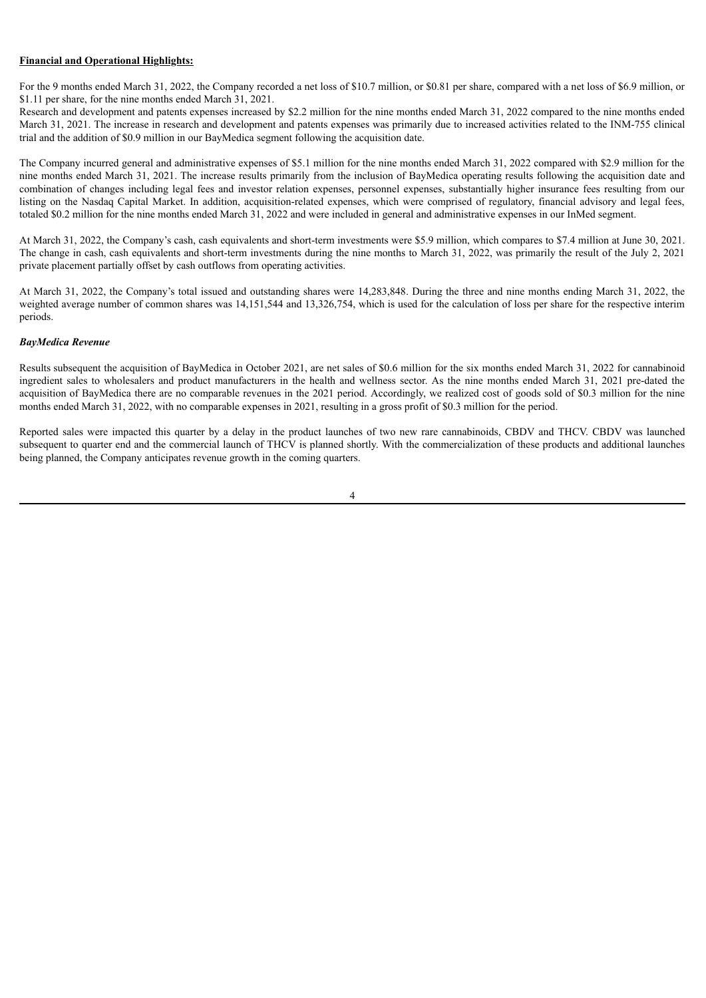#### **Financial and Operational Highlights:**

For the 9 months ended March 31, 2022, the Company recorded a net loss of \$10.7 million, or \$0.81 per share, compared with a net loss of \$6.9 million, or \$1.11 per share, for the nine months ended March 31, 2021.

Research and development and patents expenses increased by \$2.2 million for the nine months ended March 31, 2022 compared to the nine months ended March 31, 2021. The increase in research and development and patents expenses was primarily due to increased activities related to the INM-755 clinical trial and the addition of \$0.9 million in our BayMedica segment following the acquisition date.

The Company incurred general and administrative expenses of \$5.1 million for the nine months ended March 31, 2022 compared with \$2.9 million for the nine months ended March 31, 2021. The increase results primarily from the inclusion of BayMedica operating results following the acquisition date and combination of changes including legal fees and investor relation expenses, personnel expenses, substantially higher insurance fees resulting from our listing on the Nasdaq Capital Market. In addition, acquisition-related expenses, which were comprised of regulatory, financial advisory and legal fees, totaled \$0.2 million for the nine months ended March 31, 2022 and were included in general and administrative expenses in our InMed segment.

At March 31, 2022, the Company's cash, cash equivalents and short-term investments were \$5.9 million, which compares to \$7.4 million at June 30, 2021. The change in cash, cash equivalents and short-term investments during the nine months to March 31, 2022, was primarily the result of the July 2, 2021 private placement partially offset by cash outflows from operating activities.

At March 31, 2022, the Company's total issued and outstanding shares were 14,283,848. During the three and nine months ending March 31, 2022, the weighted average number of common shares was 14,151,544 and 13,326,754, which is used for the calculation of loss per share for the respective interim periods.

### *BayMedica Revenue*

Results subsequent the acquisition of BayMedica in October 2021, are net sales of \$0.6 million for the six months ended March 31, 2022 for cannabinoid ingredient sales to wholesalers and product manufacturers in the health and wellness sector. As the nine months ended March 31, 2021 pre-dated the acquisition of BayMedica there are no comparable revenues in the 2021 period. Accordingly, we realized cost of goods sold of \$0.3 million for the nine months ended March 31, 2022, with no comparable expenses in 2021, resulting in a gross profit of \$0.3 million for the period.

Reported sales were impacted this quarter by a delay in the product launches of two new rare cannabinoids, CBDV and THCV. CBDV was launched subsequent to quarter end and the commercial launch of THCV is planned shortly. With the commercialization of these products and additional launches being planned, the Company anticipates revenue growth in the coming quarters.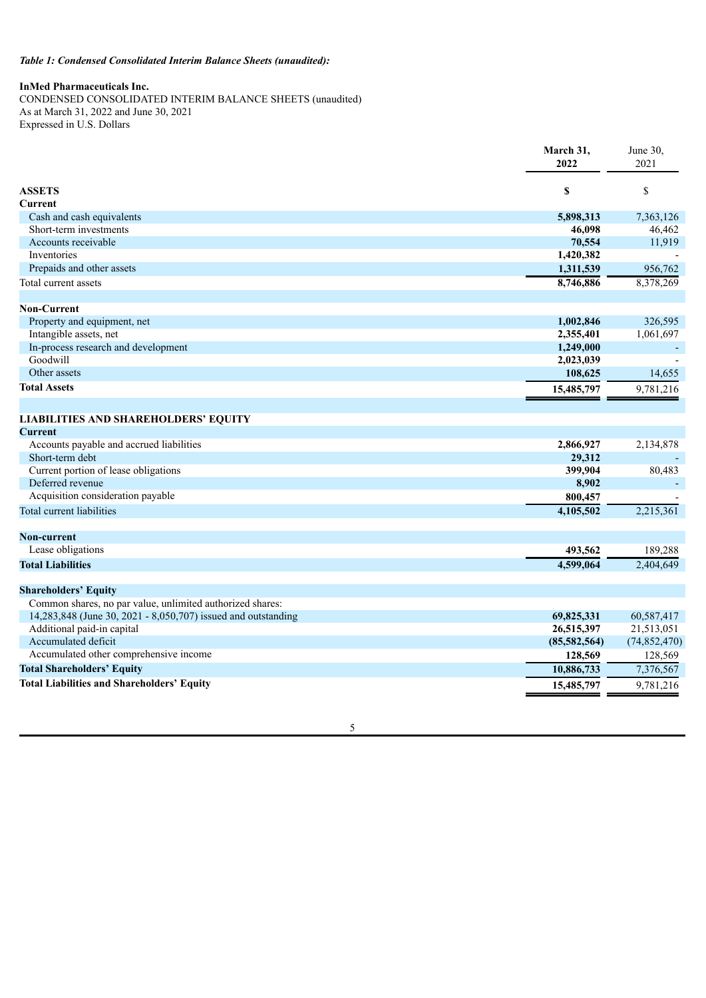## *Table 1: Condensed Consolidated Interim Balance Sheets (unaudited):*

## **InMed Pharmaceuticals Inc.**

CONDENSED CONSOLIDATED INTERIM BALANCE SHEETS (unaudited) As at March 31, 2022 and June 30, 2021 Expressed in U.S. Dollars

|                                                               | March 31,    | June 30.       |
|---------------------------------------------------------------|--------------|----------------|
|                                                               | 2022         | 2021           |
| <b>ASSETS</b>                                                 | \$           | \$             |
| Current                                                       |              |                |
| Cash and cash equivalents                                     | 5,898,313    | 7,363,126      |
| Short-term investments                                        | 46,098       | 46,462         |
| Accounts receivable                                           | 70,554       | 11,919         |
| Inventories                                                   | 1,420,382    |                |
| Prepaids and other assets                                     | 1,311,539    | 956,762        |
| Total current assets                                          | 8,746,886    | 8,378,269      |
|                                                               |              |                |
| <b>Non-Current</b>                                            |              |                |
| Property and equipment, net                                   | 1,002,846    | 326,595        |
| Intangible assets, net                                        | 2,355,401    | 1,061,697      |
| In-process research and development                           | 1,249,000    |                |
| Goodwill                                                      | 2,023,039    |                |
| Other assets                                                  | 108,625      | 14,655         |
| <b>Total Assets</b>                                           | 15,485,797   | 9,781,216      |
|                                                               |              |                |
| <b>LIABILITIES AND SHAREHOLDERS' EQUITY</b>                   |              |                |
| <b>Current</b>                                                |              |                |
| Accounts payable and accrued liabilities                      | 2,866,927    | 2,134,878      |
| Short-term debt                                               | 29,312       |                |
| Current portion of lease obligations                          | 399,904      | 80,483         |
| Deferred revenue                                              | 8,902        |                |
| Acquisition consideration payable                             | 800,457      |                |
| Total current liabilities                                     | 4,105,502    | 2,215,361      |
| <b>Non-current</b>                                            |              |                |
| Lease obligations                                             | 493,562      | 189,288        |
| <b>Total Liabilities</b>                                      | 4,599,064    | 2,404,649      |
|                                                               |              |                |
| <b>Shareholders' Equity</b>                                   |              |                |
| Common shares, no par value, unlimited authorized shares:     |              |                |
| 14,283,848 (June 30, 2021 - 8,050,707) issued and outstanding | 69,825,331   | 60,587,417     |
| Additional paid-in capital                                    | 26,515,397   | 21,513,051     |
| Accumulated deficit                                           | (85,582,564) | (74, 852, 470) |
| Accumulated other comprehensive income                        | 128,569      | 128,569        |
| <b>Total Shareholders' Equity</b>                             | 10,886,733   | 7,376,567      |
| <b>Total Liabilities and Shareholders' Equity</b>             | 15,485,797   | 9,781,216      |
|                                                               |              |                |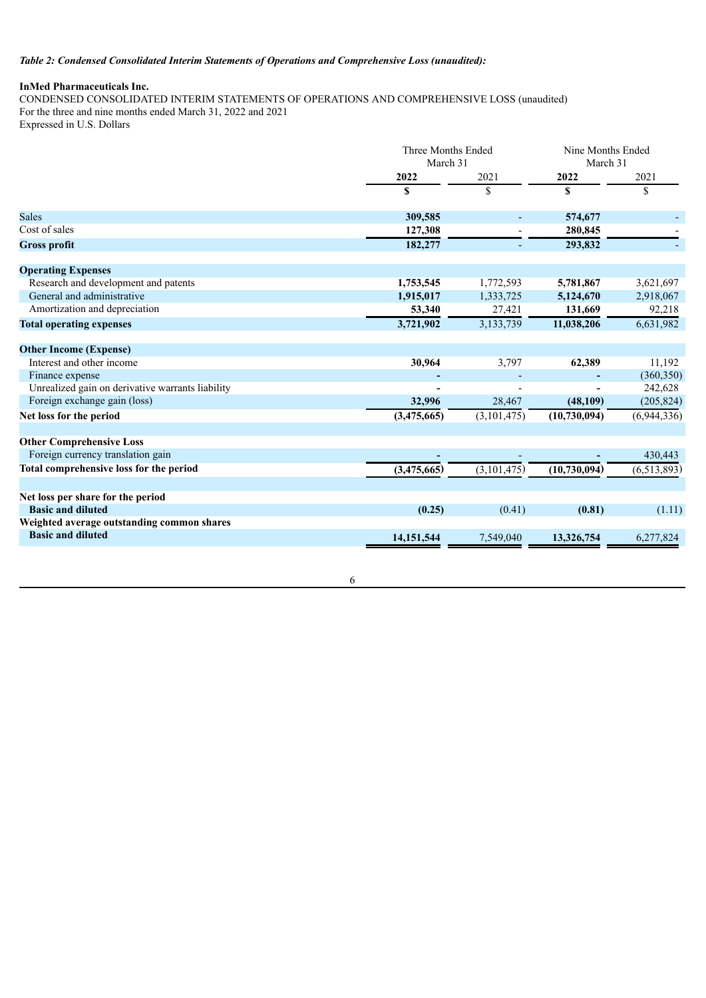## *Table 2: Condensed Consolidated Interim Statements of Operations and Comprehensive Loss (unaudited):*

## **InMed Pharmaceuticals Inc.**

CONDENSED CONSOLIDATED INTERIM STATEMENTS OF OPERATIONS AND COMPREHENSIVE LOSS (unaudited) For the three and nine months ended March 31, 2022 and 2021

Expressed in U.S. Dollars

|                                                  | Three Months Ended<br>March 31 |                | Nine Months Ended<br>March 31 |               |
|--------------------------------------------------|--------------------------------|----------------|-------------------------------|---------------|
|                                                  | 2022                           | 2021           | 2022                          | 2021          |
|                                                  | \$                             | \$             | \$                            | \$            |
| <b>Sales</b>                                     | 309,585                        |                | 574,677                       |               |
| Cost of sales                                    | 127,308                        |                | 280,845                       |               |
| <b>Gross profit</b>                              | 182,277                        | $\blacksquare$ | 293,832                       |               |
| <b>Operating Expenses</b>                        |                                |                |                               |               |
| Research and development and patents             | 1,753,545                      | 1,772,593      | 5,781,867                     | 3,621,697     |
| General and administrative                       | 1,915,017                      | 1,333,725      | 5,124,670                     | 2,918,067     |
| Amortization and depreciation                    | 53,340                         | 27,421         | 131,669                       | 92,218        |
| <b>Total operating expenses</b>                  | 3,721,902                      | 3,133,739      | 11,038,206                    | 6,631,982     |
| <b>Other Income (Expense)</b>                    |                                |                |                               |               |
| Interest and other income                        | 30,964                         | 3,797          | 62,389                        | 11,192        |
| Finance expense                                  |                                |                |                               | (360, 350)    |
| Unrealized gain on derivative warrants liability |                                |                |                               | 242,628       |
| Foreign exchange gain (loss)                     | 32,996                         | 28,467         | (48,109)                      | (205, 824)    |
| Net loss for the period                          | (3,475,665)                    | (3, 101, 475)  | (10, 730, 094)                | (6,944,336)   |
| <b>Other Comprehensive Loss</b>                  |                                |                |                               |               |
| Foreign currency translation gain                |                                |                |                               | 430,443       |
| Total comprehensive loss for the period          | (3,475,665)                    | (3,101,475)    | (10, 730, 094)                | (6, 513, 893) |
| Net loss per share for the period                |                                |                |                               |               |
| <b>Basic and diluted</b>                         | (0.25)                         | (0.41)         | (0.81)                        | (1.11)        |
| Weighted average outstanding common shares       |                                |                |                               |               |
| <b>Basic and diluted</b>                         | 14,151,544                     | 7,549,040      | 13,326,754                    | 6,277,824     |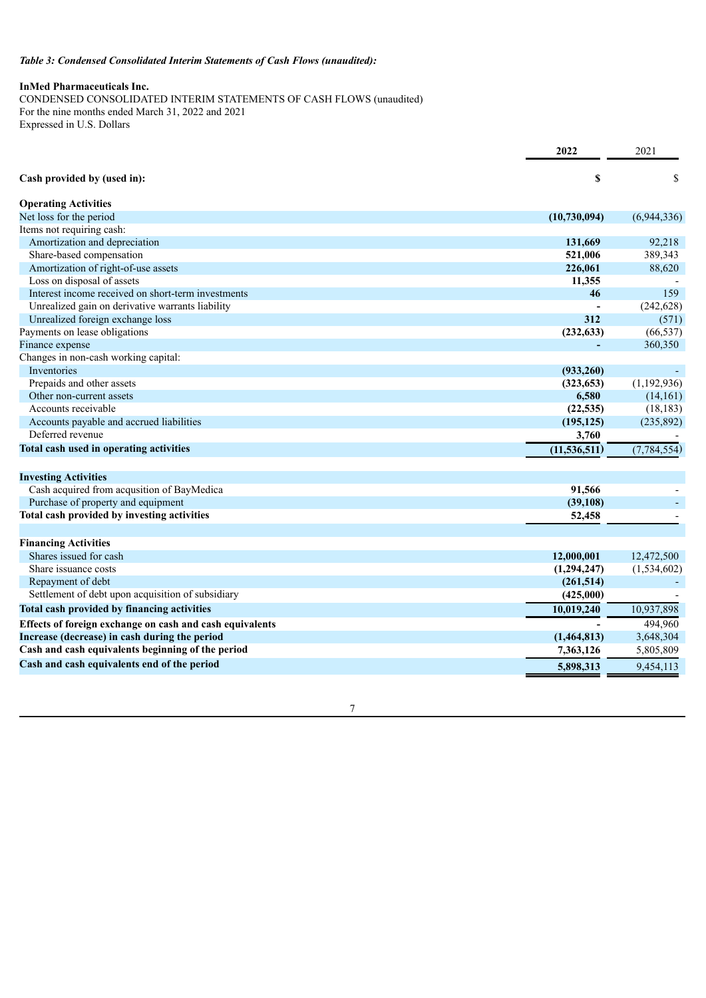## *Table 3: Condensed Consolidated Interim Statements of Cash Flows (unaudited):*

## **InMed Pharmaceuticals Inc.**

CONDENSED CONSOLIDATED INTERIM STATEMENTS OF CASH FLOWS (unaudited) For the nine months ended March 31, 2022 and 2021 Expressed in U.S. Dollars

|                                                          | 2022           | 2021          |
|----------------------------------------------------------|----------------|---------------|
| Cash provided by (used in):                              | \$             | \$            |
| <b>Operating Activities</b>                              |                |               |
| Net loss for the period                                  | (10,730,094)   | (6,944,336)   |
| Items not requiring cash:                                |                |               |
| Amortization and depreciation                            | 131,669        | 92,218        |
| Share-based compensation                                 | 521,006        | 389,343       |
| Amortization of right-of-use assets                      | 226,061        | 88,620        |
| Loss on disposal of assets                               | 11,355         |               |
| Interest income received on short-term investments       | 46             | 159           |
| Unrealized gain on derivative warrants liability         |                | (242, 628)    |
| Unrealized foreign exchange loss                         | 312            | (571)         |
| Payments on lease obligations                            | (232, 633)     | (66, 537)     |
| Finance expense                                          |                | 360,350       |
| Changes in non-cash working capital:                     |                |               |
| Inventories                                              | (933, 260)     |               |
| Prepaids and other assets                                | (323, 653)     | (1,192,936)   |
| Other non-current assets                                 | 6,580          | (14,161)      |
| Accounts receivable                                      | (22, 535)      | (18, 183)     |
| Accounts payable and accrued liabilities                 | (195, 125)     | (235, 892)    |
| Deferred revenue                                         | 3,760          |               |
| Total cash used in operating activities                  | (11, 536, 511) | (7, 784, 554) |
| <b>Investing Activities</b>                              |                |               |
| Cash acquired from acqusition of BayMedica               | 91,566         |               |
| Purchase of property and equipment                       | (39, 108)      |               |
| Total cash provided by investing activities              | 52,458         |               |
|                                                          |                |               |
| <b>Financing Activities</b>                              |                |               |
| Shares issued for cash                                   | 12,000,001     | 12,472,500    |
| Share issuance costs                                     | (1,294,247)    | (1,534,602)   |
| Repayment of debt                                        | (261, 514)     |               |
| Settlement of debt upon acquisition of subsidiary        | (425,000)      |               |
| Total cash provided by financing activities              | 10,019,240     | 10,937,898    |
| Effects of foreign exchange on cash and cash equivalents |                | 494,960       |
| Increase (decrease) in cash during the period            | (1,464,813)    | 3,648,304     |
| Cash and cash equivalents beginning of the period        | 7,363,126      | 5,805,809     |
| Cash and cash equivalents end of the period              | 5,898,313      | 9,454,113     |
|                                                          |                |               |